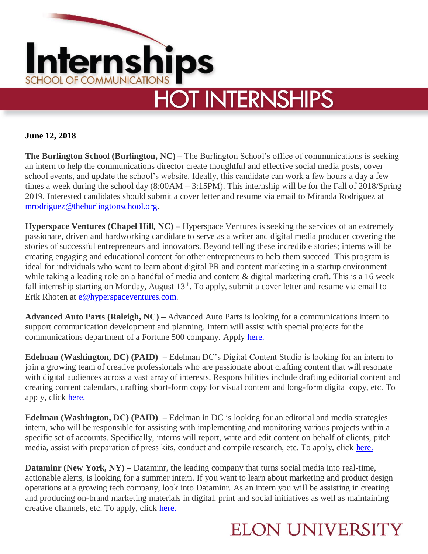

**June 12, 2018**

**The Burlington School (Burlington, NC) –** The Burlington School's office of communications is seeking an intern to help the communications director create thoughtful and effective social media posts, cover school events, and update the school's website. Ideally, this candidate can work a few hours a day a few times a week during the school day (8:00AM – 3:15PM). This internship will be for the Fall of 2018/Spring 2019. Interested candidates should submit a cover letter and resume via email to Miranda Rodriguez at [mrodriguez@theburlingtonschool.org.](mailto:mrodriguez@theburlingtonschool.org)

**Hyperspace Ventures (Chapel Hill, NC) –** Hyperspace Ventures is seeking the services of an extremely passionate, driven and hardworking candidate to serve as a writer and digital media producer covering the stories of successful entrepreneurs and innovators. Beyond telling these incredible stories; interns will be creating engaging and educational content for other entrepreneurs to help them succeed. This program is ideal for individuals who want to learn about digital PR and content marketing in a startup environment while taking a leading role on a handful of media and content & digital marketing craft. This is a 16 week fall internship starting on Monday, August 13<sup>th</sup>. To apply, submit a cover letter and resume via email to Erik Rhoten at [e@hyperspaceventures.com.](mailto:e@hyperspaceventures.com)

**Advanced Auto Parts (Raleigh, NC) –** Advanced Auto Parts is looking for a communications intern to support communication development and planning. Intern will assist with special projects for the communications department of a Fortune 500 company. Apply [here.](https://www.advanceautoparts.jobs/en-US/job/communications-intern/J3S6KX6NZ7ZPV2LV2QG)

**Edelman (Washington, DC) (PAID) –** Edelman DC's Digital Content Studio is looking for an intern to join a growing team of creative professionals who are passionate about crafting content that will resonate with digital audiences across a vast array of interests. Responsibilities include drafting editorial content and creating content calendars, drafting short-form copy for visual content and long-form digital copy, etc. To apply, click [here.](https://djeholdings.taleo.net/careersection/us/jobdetail.ftl?job=180832&tz=GMT-04%3A00)

**Edelman (Washington, DC) (PAID) –** Edelman in DC is looking for an editorial and media strategies intern, who will be responsible for assisting with implementing and monitoring various projects within a specific set of accounts. Specifically, interns will report, write and edit content on behalf of clients, pitch media, assist with preparation of press kits, conduct and compile research, etc. To apply, click [here.](https://djeholdings.taleo.net/careersection/us/jobdetail.ftl?job=181326&tz=GMT-04%3A00)

**Dataminr (New York, NY) –** Dataminr, the leading company that turns social media into real-time, actionable alerts, is looking for a summer intern. If you want to learn about marketing and product design operations at a growing tech company, look into Dataminr. As an intern you will be assisting in creating and producing on-brand marketing materials in digital, print and social initiatives as well as maintaining creative channels, etc. To apply, click [here.](https://boards.greenhouse.io/dataminr/jobs/1127698)

## **ELON UNIVERSITY**